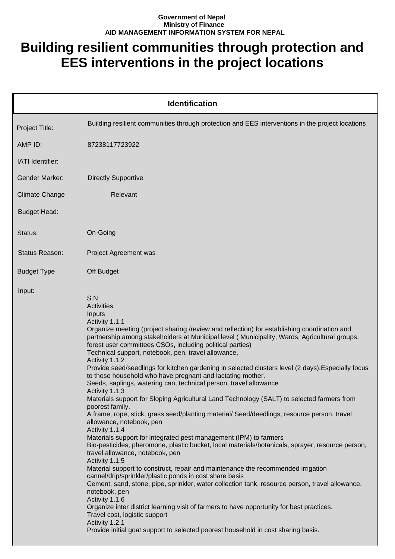## **Government of Nepal Ministry of Finance AID MANAGEMENT INFORMATION SYSTEM FOR NEPAL**

## **Building resilient communities through protection and EES interventions in the project locations**

| <b>Identification</b> |                                                                                                                                                                                                                                                                                                                                                                                                                                                                                                                                                                                                                                                                                                                                                                                                                                                                                                                                                                                                                                                                                                                                                                                                                                                                                                                                                                                                                                                                                                                                                                                                                                                                            |  |
|-----------------------|----------------------------------------------------------------------------------------------------------------------------------------------------------------------------------------------------------------------------------------------------------------------------------------------------------------------------------------------------------------------------------------------------------------------------------------------------------------------------------------------------------------------------------------------------------------------------------------------------------------------------------------------------------------------------------------------------------------------------------------------------------------------------------------------------------------------------------------------------------------------------------------------------------------------------------------------------------------------------------------------------------------------------------------------------------------------------------------------------------------------------------------------------------------------------------------------------------------------------------------------------------------------------------------------------------------------------------------------------------------------------------------------------------------------------------------------------------------------------------------------------------------------------------------------------------------------------------------------------------------------------------------------------------------------------|--|
| Project Title:        | Building resilient communities through protection and EES interventions in the project locations                                                                                                                                                                                                                                                                                                                                                                                                                                                                                                                                                                                                                                                                                                                                                                                                                                                                                                                                                                                                                                                                                                                                                                                                                                                                                                                                                                                                                                                                                                                                                                           |  |
| AMP ID:               | 87238117723922                                                                                                                                                                                                                                                                                                                                                                                                                                                                                                                                                                                                                                                                                                                                                                                                                                                                                                                                                                                                                                                                                                                                                                                                                                                                                                                                                                                                                                                                                                                                                                                                                                                             |  |
| IATI Identifier:      |                                                                                                                                                                                                                                                                                                                                                                                                                                                                                                                                                                                                                                                                                                                                                                                                                                                                                                                                                                                                                                                                                                                                                                                                                                                                                                                                                                                                                                                                                                                                                                                                                                                                            |  |
| <b>Gender Marker:</b> | <b>Directly Supportive</b>                                                                                                                                                                                                                                                                                                                                                                                                                                                                                                                                                                                                                                                                                                                                                                                                                                                                                                                                                                                                                                                                                                                                                                                                                                                                                                                                                                                                                                                                                                                                                                                                                                                 |  |
| <b>Climate Change</b> | Relevant                                                                                                                                                                                                                                                                                                                                                                                                                                                                                                                                                                                                                                                                                                                                                                                                                                                                                                                                                                                                                                                                                                                                                                                                                                                                                                                                                                                                                                                                                                                                                                                                                                                                   |  |
| <b>Budget Head:</b>   |                                                                                                                                                                                                                                                                                                                                                                                                                                                                                                                                                                                                                                                                                                                                                                                                                                                                                                                                                                                                                                                                                                                                                                                                                                                                                                                                                                                                                                                                                                                                                                                                                                                                            |  |
| Status:               | On-Going                                                                                                                                                                                                                                                                                                                                                                                                                                                                                                                                                                                                                                                                                                                                                                                                                                                                                                                                                                                                                                                                                                                                                                                                                                                                                                                                                                                                                                                                                                                                                                                                                                                                   |  |
| Status Reason:        | Project Agreement was                                                                                                                                                                                                                                                                                                                                                                                                                                                                                                                                                                                                                                                                                                                                                                                                                                                                                                                                                                                                                                                                                                                                                                                                                                                                                                                                                                                                                                                                                                                                                                                                                                                      |  |
| <b>Budget Type</b>    | Off Budget                                                                                                                                                                                                                                                                                                                                                                                                                                                                                                                                                                                                                                                                                                                                                                                                                                                                                                                                                                                                                                                                                                                                                                                                                                                                                                                                                                                                                                                                                                                                                                                                                                                                 |  |
| Input:                | S.N<br><b>Activities</b><br>Inputs<br>Activity 1.1.1<br>Organize meeting (project sharing /review and reflection) for establishing coordination and<br>partnership among stakeholders at Municipal level (Municipality, Wards, Agricultural groups,<br>forest user committees CSOs, including political parties)<br>Technical support, notebook, pen, travel allowance,<br>Activity 1.1.2<br>Provide seed/seedlings for kitchen gardening in selected clusters level (2 days). Especially focus<br>to those household who have pregnant and lactating mother.<br>Seeds, saplings, watering can, technical person, travel allowance<br>Activity 1.1.3<br>Materials support for Sloping Agricultural Land Technology (SALT) to selected farmers from<br>poorest family.<br>A frame, rope, stick, grass seed/planting material/ Seed/deedlings, resource person, travel<br>allowance, notebook, pen<br>Activity 1.1.4<br>Materials support for integrated pest management (IPM) to farmers<br>Bio-pesticides, pheromone, plastic bucket, local materials/botanicals, sprayer, resource person,<br>travel allowance, notebook, pen<br>Activity 1.1.5<br>Material support to construct, repair and maintenance the recommended irrigation<br>cannel/drip/sprinkler/plastic ponds in cost share basis<br>Cement, sand, stone, pipe, sprinkler, water collection tank, resource person, travel allowance,<br>notebook, pen<br>Activity 1.1.6<br>Organize inter district learning visit of farmers to have opportunity for best practices.<br>Travel cost, logistic support<br>Activity 1.2.1<br>Provide initial goat support to selected poorest household in cost sharing basis. |  |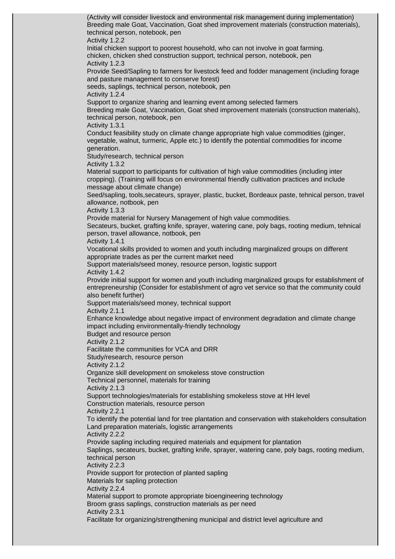(Activity will consider livestock and environmental risk management during implementation) Breeding male Goat, Vaccination, Goat shed improvement materials (construction materials), technical person, notebook, pen Activity 1.2.2 Initial chicken support to poorest household, who can not involve in goat farming. chicken, chicken shed construction support, technical person, notebook, pen Activity 1.2.3 Provide Seed/Sapling to farmers for livestock feed and fodder management (including forage and pasture management to conserve forest) seeds, saplings, technical person, notebook, pen Activity 1.2.4 Support to organize sharing and learning event among selected farmers Breeding male Goat, Vaccination, Goat shed improvement materials (construction materials), technical person, notebook, pen Activity 1.3.1 Conduct feasibility study on climate change appropriate high value commodities (ginger, vegetable, walnut, turmeric, Apple etc.) to identify the potential commodities for income generation. Study/research, technical person Activity 1.3.2 Material support to participants for cultivation of high value commodities (including inter cropping). (Training will focus on environmental friendly cultivation practices and include message about climate change) Seed/sapling, tools,secateurs, sprayer, plastic, bucket, Bordeaux paste, tehnical person, travel allowance, notbook, pen Activity 1.3.3 Provide material for Nursery Management of high value commodities. Secateurs, bucket, grafting knife, sprayer, watering cane, poly bags, rooting medium, tehnical person, travel allowance, notbook, pen Activity 1.4.1 Vocational skills provided to women and youth including marginalized groups on different appropriate trades as per the current market need Support materials/seed money, resource person, logistic support Activity 1.4.2 Provide initial support for women and youth including marginalized groups for establishment of entrepreneurship (Consider for establishment of agro vet service so that the community could also benefit further) Support materials/seed money, technical support Activity 2.1.1 Enhance knowledge about negative impact of environment degradation and climate change impact including environmentally-friendly technology Budget and resource person Activity 2.1.2 Facilitate the communities for VCA and DRR Study/research, resource person Activity 2.1.2 Organize skill development on smokeless stove construction Technical personnel, materials for training Activity 2.1.3 Support technologies/materials for establishing smokeless stove at HH level Construction materials, resource person Activity 2.2.1 To identify the potential land for tree plantation and conservation with stakeholders consultation Land preparation materials, logistic arrangements Activity 2.2.2 Provide sapling including required materials and equipment for plantation Saplings, secateurs, bucket, grafting knife, sprayer, watering cane, poly bags, rooting medium, technical person Activity 2.2.3 Provide support for protection of planted sapling Materials for sapling protection Activity 2.2.4 Material support to promote appropriate bioengineering technology Broom grass saplings, construction materials as per need Activity 2.3.1 Facilitate for organizing/strengthening municipal and district level agriculture and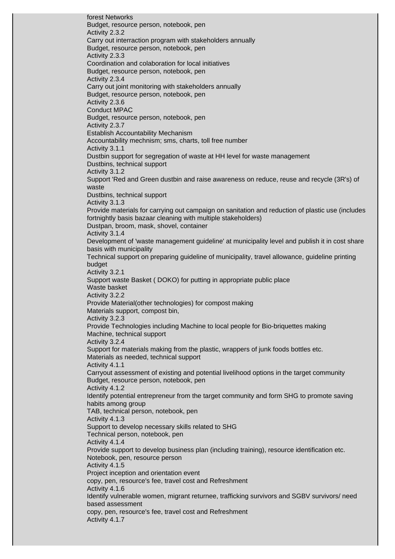forest Networks Budget, resource person, notebook, pen Activity 2.3.2 Carry out interraction program with stakeholders annually Budget, resource person, notebook, pen Activity 2.3.3 Coordination and colaboration for local initiatives Budget, resource person, notebook, pen Activity 2.3.4 Carry out joint monitoring with stakeholders annually Budget, resource person, notebook, pen Activity 2.3.6 Conduct MPAC Budget, resource person, notebook, pen Activity 2.3.7 Establish Accountability Mechanism Accountability mechnism; sms, charts, toll free number Activity 3.1.1 Dustbin support for segregation of waste at HH level for waste management Dustbins, technical support Activity 3.1.2 Support 'Red and Green dustbin and raise awareness on reduce, reuse and recycle (3R's) of waste Dustbins, technical support Activity 3.1.3 Provide materials for carrying out campaign on sanitation and reduction of plastic use (includes fortnightly basis bazaar cleaning with multiple stakeholders) Dustpan, broom, mask, shovel, container Activity 3.1.4 Development of 'waste management guideline' at municipality level and publish it in cost share basis with municipality Technical support on preparing guideline of municipality, travel allowance, guideline printing budget Activity 3.2.1 Support waste Basket ( DOKO) for putting in appropriate public place Waste basket Activity 3.2.2 Provide Material(other technologies) for compost making Materials support, compost bin, Activity 3.2.3 Provide Technologies including Machine to local people for Bio-briquettes making Machine, technical support Activity 3.2.4 Support for materials making from the plastic, wrappers of junk foods bottles etc. Materials as needed, technical support Activity 4.1.1 Carryout assessment of existing and potential livelihood options in the target community Budget, resource person, notebook, pen Activity 4.1.2 Identify potential entrepreneur from the target community and form SHG to promote saving habits among group TAB, technical person, notebook, pen Activity 4.1.3 Support to develop necessary skills related to SHG Technical person, notebook, pen Activity 4.1.4 Provide support to develop business plan (including training), resource identification etc. Notebook, pen, resource person Activity 4.1.5 Project inception and orientation event copy, pen, resource's fee, travel cost and Refreshment Activity 4.1.6 Identify vulnerable women, migrant returnee, trafficking survivors and SGBV survivors/ need based assessment copy, pen, resource's fee, travel cost and Refreshment Activity 4.1.7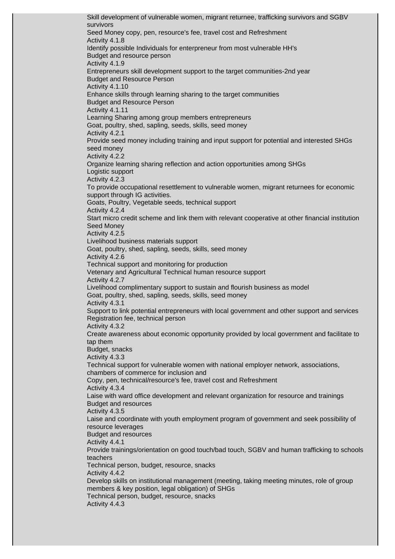Skill development of vulnerable women, migrant returnee, trafficking survivors and SGBV survivors Seed Money copy, pen, resource's fee, travel cost and Refreshment Activity 4.1.8 Identify possible Individuals for enterpreneur from most vulnerable HH's Budget and resource person Activity 4.1.9 Entrepreneurs skill development support to the target communities-2nd year Budget and Resource Person Activity 4.1.10 Enhance skills through learning sharing to the target communities Budget and Resource Person Activity 4.1.11 Learning Sharing among group members entrepreneurs Goat, poultry, shed, sapling, seeds, skills, seed money Activity 4.2.1 Provide seed money including training and input support for potential and interested SHGs seed money Activity 4.2.2 Organize learning sharing reflection and action opportunities among SHGs Logistic support Activity 4.2.3 To provide occupational resettlement to vulnerable women, migrant returnees for economic support through IG activities. Goats, Poultry, Vegetable seeds, technical support Activity 4.2.4 Start micro credit scheme and link them with relevant cooperative at other financial institution Seed Money Activity 4.2.5 Livelihood business materials support Goat, poultry, shed, sapling, seeds, skills, seed money Activity 4.2.6 Technical support and monitoring for production Vetenary and Agricultural Technical human resource support Activity 4.2.7 Livelihood complimentary support to sustain and flourish business as model Goat, poultry, shed, sapling, seeds, skills, seed money Activity 4.3.1 Support to link potential entrepreneurs with local government and other support and services Registration fee, technical person Activity 4.3.2 Create awareness about economic opportunity provided by local government and facilitate to tap them Budget, snacks Activity 4.3.3 Technical support for vulnerable women with national employer network, associations, chambers of commerce for inclusion and Copy, pen, technical/resource's fee, travel cost and Refreshment Activity 4.3.4 Laise with ward office development and relevant organization for resource and trainings Budget and resources Activity 4.3.5 Laise and coordinate with youth employment program of government and seek possibility of resource leverages Budget and resources Activity 4.4.1 Provide trainings/orientation on good touch/bad touch, SGBV and human trafficking to schools teachers Technical person, budget, resource, snacks Activity 4.4.2 Develop skills on institutional management (meeting, taking meeting minutes, role of group members & key position, legal obligation) of SHGs Technical person, budget, resource, snacks Activity 4.4.3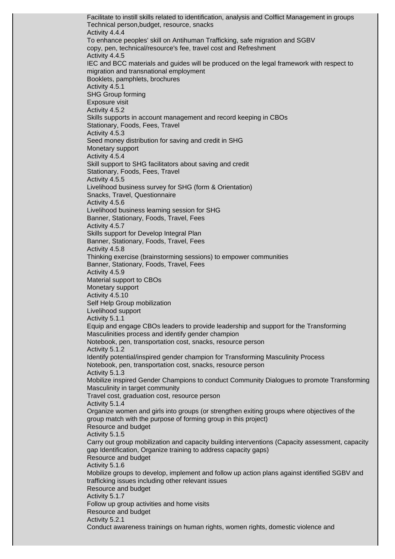Facilitate to instill skills related to identification, analysis and Colflict Management in groups Technical person,budget, resource, snacks Activity 4.4.4 To enhance peoples' skill on Antihuman Trafficking, safe migration and SGBV copy, pen, technical/resource's fee, travel cost and Refreshment Activity 4.4.5 IEC and BCC materials and guides will be produced on the legal framework with respect to migration and transnational employment Booklets, pamphlets, brochures Activity 4.5.1 SHG Group forming Exposure visit Activity 4.5.2 Skills supports in account management and record keeping in CBOs Stationary, Foods, Fees, Travel Activity 4.5.3 Seed money distribution for saving and credit in SHG Monetary support Activity 4.5.4 Skill support to SHG facilitators about saving and credit Stationary, Foods, Fees, Travel Activity 4.5.5 Livelihood business survey for SHG (form & Orientation) Snacks, Travel, Questionnaire Activity 4.5.6 Livelihood business learning session for SHG Banner, Stationary, Foods, Travel, Fees Activity 4.5.7 Skills support for Develop Integral Plan Banner, Stationary, Foods, Travel, Fees Activity 4.5.8 Thinking exercise (brainstorming sessions) to empower communities Banner, Stationary, Foods, Travel, Fees Activity 4.5.9 Material support to CBOs Monetary support Activity 4.5.10 Self Help Group mobilization Livelihood support Activity 5.1.1 Equip and engage CBOs leaders to provide leadership and support for the Transforming Masculinities process and identify gender champion Notebook, pen, transportation cost, snacks, resource person Activity 5.1.2 Identify potential/inspired gender champion for Transforming Masculinity Process Notebook, pen, transportation cost, snacks, resource person Activity 5.1.3 Mobilize inspired Gender Champions to conduct Community Dialogues to promote Transforming Masculinity in target community Travel cost, graduation cost, resource person Activity 5.1.4 Organize women and girls into groups (or strengthen exiting groups where objectives of the group match with the purpose of forming group in this project) Resource and budget Activity 5.1.5 Carry out group mobilization and capacity building interventions (Capacity assessment, capacity gap Identification, Organize training to address capacity gaps) Resource and budget Activity 5.1.6 Mobilize groups to develop, implement and follow up action plans against identified SGBV and trafficking issues including other relevant issues Resource and budget Activity 5.1.7 Follow up group activities and home visits Resource and budget Activity 5.2.1 Conduct awareness trainings on human rights, women rights, domestic violence and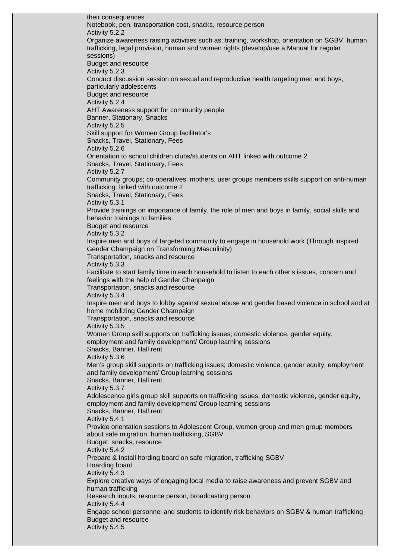their consequences Notebook, pen, transportation cost, snacks, resource person Activity 5.2.2 Organize awareness raising activities such as; training, workshop, orientation on SGBV, human trafficking, legal provision, human and women rights (develop/use a Manual for regular sessions) Budget and resource Activity 5.2.3 Conduct discussion session on sexual and reproductive health targeting men and boys, particularly adolescents Budget and resource Activity 5.2.4 AHT Awareness support for community people Banner, Stationary, Snacks Activity 5.2.5 Skill support for Women Group facilitator's Snacks, Travel, Stationary, Fees Activity 5.2.6 Orientation to school children clubs/students on AHT linked with outcome 2 Snacks, Travel, Stationary, Fees Activity 5.2.7 Community groups; co-operatives, mothers, user groups members skills support on anti-human trafficking. linked with outcome 2 Snacks, Travel, Stationary, Fees Activity 5.3.1 Provide trainings on importance of family, the role of men and boys in family, social skills and behavior trainings to families. Budget and resource Activity 5.3.2 Inspire men and boys of targeted community to engage in household work (Through inspired Gender Champaign on Transforming Masculinity) Transportation, snacks and resource Activity 5.3.3 Facilitate to start family time in each household to listen to each other's issues, concern and feelings with the help of Gender Chanpaign Transportation, snacks and resource Activity 5.3.4 Inspire men and boys to lobby against sexual abuse and gender based violence in school and at home mobilizing Gender Champaign Transportation, snacks and resource Activity 5.3.5 Women Group skill supports on trafficking issues; domestic violence, gender equity, employment and family development/ Group learning sessions Snacks, Banner, Hall rent Activity 5.3.6 Men's group skill supports on trafficking issues; domestic violence, gender equity, employment and family development/ Group learning sessions Snacks, Banner, Hall rent Activity 5.3.7 Adolescence girls group skill supports on trafficking issues; domestic violence, gender equity, employment and family development/ Group learning sessions Snacks, Banner, Hall rent Activity 5.4.1 Provide orientation sessions to Adolescent Group, women group and men group members about safe migration, human trafficking, SGBV Budget, snacks, resource Activity 5.4.2 Prepare & Install hording board on safe migration, trafficking SGBV Hoarding board Activity 5.4.3 Explore creative ways of engaging local media to raise awareness and prevent SGBV and human trafficking Research inputs, resource person, broadcasting person Activity 5.4.4 Engage school personnel and students to identify risk behaviors on SGBV & human trafficking Budget and resource Activity 5.4.5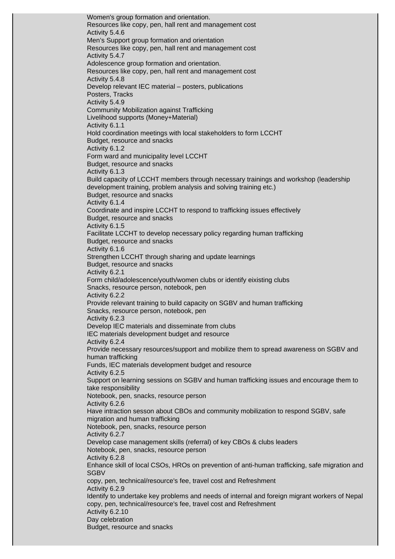Women's group formation and orientation. Resources like copy, pen, hall rent and management cost Activity 5.4.6 Men's Support group formation and orientation Resources like copy, pen, hall rent and management cost Activity 5.4.7 Adolescence group formation and orientation. Resources like copy, pen, hall rent and management cost Activity 5.4.8 Develop relevant IEC material – posters, publications Posters, Tracks Activity 5.4.9 Community Mobilization against Trafficking Livelihood supports (Money+Material) Activity 6.1.1 Hold coordination meetings with local stakeholders to form LCCHT Budget, resource and snacks Activity 6.1.2 Form ward and municipality level LCCHT Budget, resource and snacks Activity 6.1.3 Build capacity of LCCHT members through necessary trainings and workshop (leadership development training, problem analysis and solving training etc.) Budget, resource and snacks Activity 6.1.4 Coordinate and inspire LCCHT to respond to trafficking issues effectively Budget, resource and snacks Activity 6.1.5 Facilitate LCCHT to develop necessary policy regarding human trafficking Budget, resource and snacks Activity 6.1.6 Strengthen LCCHT through sharing and update learnings Budget, resource and snacks Activity 6.2.1 Form child/adolescence/youth/women clubs or identify eixisting clubs Snacks, resource person, notebook, pen Activity 6.2.2 Provide relevant training to build capacity on SGBV and human trafficking Snacks, resource person, notebook, pen Activity 6.2.3 Develop IEC materials and disseminate from clubs IEC materials development budget and resource Activity 6.2.4 Provide necessary resources/support and mobilize them to spread awareness on SGBV and human trafficking Funds, IEC materials development budget and resource Activity 6.2.5 Support on learning sessions on SGBV and human trafficking issues and encourage them to take responsibility Notebook, pen, snacks, resource person Activity 6.2.6 Have intraction sesson about CBOs and community mobilization to respond SGBV, safe migration and human trafficking Notebook, pen, snacks, resource person Activity 6.2.7 Develop case management skills (referral) of key CBOs & clubs leaders Notebook, pen, snacks, resource person Activity 6.2.8 Enhance skill of local CSOs, HROs on prevention of anti-human trafficking, safe migration and **SGBV** copy, pen, technical/resource's fee, travel cost and Refreshment Activity 6.2.9 Identify to undertake key problems and needs of internal and foreign migrant workers of Nepal copy, pen, technical/resource's fee, travel cost and Refreshment Activity 6.2.10 Day celebration Budget, resource and snacks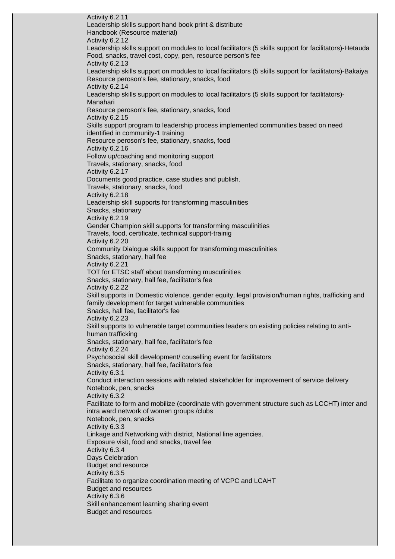Activity 6.2.11 Leadership skills support hand book print & distribute Handbook (Resource material) Activity 6.2.12 Leadership skills support on modules to local facilitators (5 skills support for facilitators)-Hetauda Food, snacks, travel cost, copy, pen, resource person's fee Activity 6.2.13 Leadership skills support on modules to local facilitators (5 skills support for facilitators)-Bakaiya Resource peroson's fee, stationary, snacks, food Activity 6.2.14 Leadership skills support on modules to local facilitators (5 skills support for facilitators)- Manahari Resource peroson's fee, stationary, snacks, food Activity 6.2.15 Skills support program to leadership process implemented communities based on need identified in community-1 training Resource peroson's fee, stationary, snacks, food Activity 6.2.16 Follow up/coaching and monitoring support Travels, stationary, snacks, food Activity 6.2.17 Documents good practice, case studies and publish. Travels, stationary, snacks, food Activity 6.2.18 Leadership skill supports for transforming masculinities Snacks, stationary Activity 6.2.19 Gender Champion skill supports for transforming masculinities Travels, food, certificate, technical support-trainig Activity 6.2.20 Community Dialogue skills support for transforming masculinities Snacks, stationary, hall fee Activity 6.2.21 TOT for ETSC staff about transforming musculinities Snacks, stationary, hall fee, facilitator's fee Activity 6.2.22 Skill supports in Domestic violence, gender equity, legal provision/human rights, trafficking and family development for target vulnerable communities Snacks, hall fee, facilitator's fee Activity 6.2.23 Skill supports to vulnerable target communities leaders on existing policies relating to antihuman trafficking Snacks, stationary, hall fee, facilitator's fee Activity 6.2.24 Psychosocial skill development/ couselling event for facilitators Snacks, stationary, hall fee, facilitator's fee Activity 6.3.1 Conduct interaction sessions with related stakeholder for improvement of service delivery Notebook, pen, snacks Activity 6.3.2 Facilitate to form and mobilize (coordinate with government structure such as LCCHT) inter and intra ward network of women groups /clubs Notebook, pen, snacks Activity 6.3.3 Linkage and Networking with district, National line agencies. Exposure visit, food and snacks, travel fee Activity 6.3.4 Days Celebration Budget and resource Activity 6.3.5 Facilitate to organize coordination meeting of VCPC and LCAHT Budget and resources Activity 6.3.6 Skill enhancement learning sharing event Budget and resources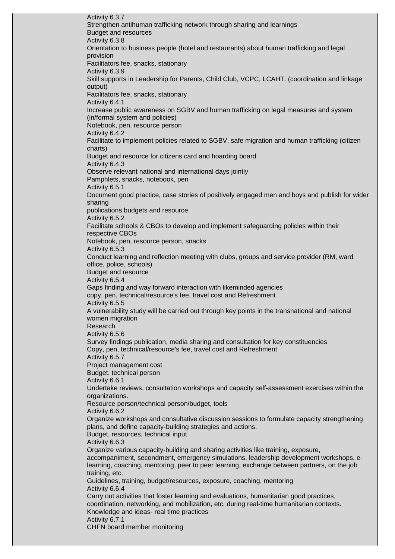Activity 6.3.7 Strengthen antihuman trafficking network through sharing and learnings Budget and resources Activity 6.3.8 Orientation to business people (hotel and restaurants) about human trafficking and legal provision Facilitators fee, snacks, stationary Activity 6.3.9 Skill supports in Leadership for Parents, Child Club, VCPC, LCAHT. (coordination and linkage output) Facilitators fee, snacks, stationary Activity 6.4.1 Increase public awareness on SGBV and human trafficking on legal measures and system (in/formal system and policies) Notebook, pen, resource person Activity 6.4.2 Facilitate to implement policies related to SGBV, safe migration and human trafficking (citizen charts) Budget and resource for citizens card and hoarding board Activity 6.4.3 Observe relevant national and international days jointly Pamphlets, snacks, notebook, pen Activity 6.5.1 Document good practice, case stories of positively engaged men and boys and publish for wider sharing publications budgets and resource Activity 6.5.2 Facilitate schools & CBOs to develop and implement safeguarding policies within their respective CBOs Notebook, pen, resource person, snacks Activity 6.5.3 Conduct learning and reflection meeting with clubs, groups and service provider (RM, ward office, police, schools) Budget and resource Activity 6.5.4 Gaps finding and way forward interaction with likeminded agencies copy, pen, technical/resource's fee, travel cost and Refreshment Activity 6.5.5 A vulnerability study will be carried out through key points in the transnational and national women migration Research Activity 6.5.6 Survey findings publication, media sharing and consultation for key constituencies Copy, pen, technical/resource's fee, travel cost and Refreshment Activity 6.5.7 Project management cost Budget. technical person Activity 6.6.1 Undertake reviews, consultation workshops and capacity self-assessment exercises within the organizations. Resource person/technical person/budget, tools Activity 6.6.2 Organize workshops and consultative discussion sessions to formulate capacity strengthening plans, and define capacity-building strategies and actions. Budget, resources, technical input Activity 6.6.3 Organize various capacity-building and sharing activities like training, exposure, accompaniment, secondment, emergency simulations, leadership development workshops, elearning, coaching, mentoring, peer to peer learning, exchange between partners, on the job training, etc. Guidelines, training, budget/resources, exposure, coaching, mentoring Activity 6.6.4 Carry out activities that foster learning and evaluations, humanitarian good practices, coordination, networking, and mobilization, etc. during real-time humanitarian contexts. Knowledge and ideas- real time practices Activity 6.7.1 CHFN board member monitoring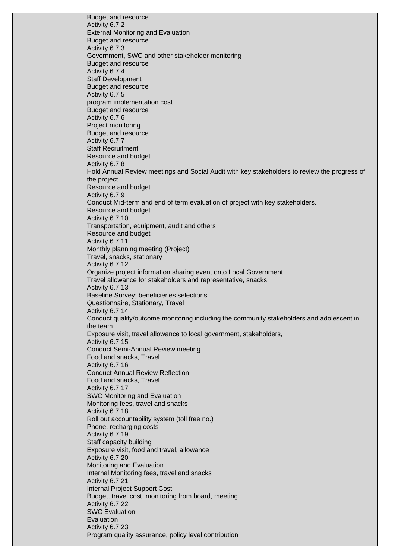Budget and resource Activity 6.7.2 External Monitoring and Evaluation Budget and resource Activity 6.7.3 Government, SWC and other stakeholder monitoring Budget and resource Activity 6.7.4 Staff Development Budget and resource Activity 6.7.5 program implementation cost Budget and resource Activity 6.7.6 Project monitoring Budget and resource Activity 6.7.7 Staff Recruitment Resource and budget Activity 6.7.8 Hold Annual Review meetings and Social Audit with key stakeholders to review the progress of the project Resource and budget Activity 6.7.9 Conduct Mid-term and end of term evaluation of project with key stakeholders. Resource and budget Activity 6.7.10 Transportation, equipment, audit and others Resource and budget Activity 6.7.11 Monthly planning meeting (Project) Travel, snacks, stationary Activity 6.7.12 Organize project information sharing event onto Local Government Travel allowance for stakeholders and representative, snacks Activity 6.7.13 Baseline Survey; beneficieries selections Questionnaire, Stationary, Travel Activity 6.7.14 Conduct quality/outcome monitoring including the community stakeholders and adolescent in the team. Exposure visit, travel allowance to local government, stakeholders, Activity 6.7.15 Conduct Semi-Annual Review meeting Food and snacks, Travel Activity 6.7.16 Conduct Annual Review Reflection Food and snacks, Travel Activity 6.7.17 SWC Monitoring and Evaluation Monitoring fees, travel and snacks Activity 6.7.18 Roll out accountability system (toll free no.) Phone, recharging costs Activity 6.7.19 Staff capacity building Exposure visit, food and travel, allowance Activity 6.7.20 Monitoring and Evaluation Internal Monitoring fees, travel and snacks Activity 6.7.21 Internal Project Support Cost Budget, travel cost, monitoring from board, meeting Activity 6.7.22 SWC Evaluation Evaluation Activity 6.7.23 Program quality assurance, policy level contribution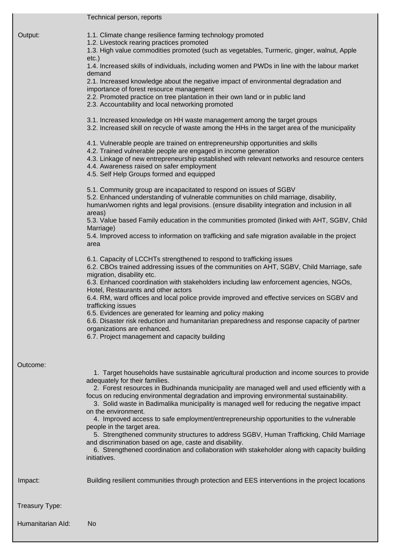|                   | Technical person, reports                                                                                                                                                                                                                                                                                                                                                                                                                                                                                                                                                                                                                                                                                                                                                                                                                                                                                                                                                                                                                                                                                                                                                                                                                                                                                                                                                                                                                                                                                                                                                                                                                                                                                                                                                                                                                                                                                                                                                                                                                                                                                                                                                                                                                                                             |
|-------------------|---------------------------------------------------------------------------------------------------------------------------------------------------------------------------------------------------------------------------------------------------------------------------------------------------------------------------------------------------------------------------------------------------------------------------------------------------------------------------------------------------------------------------------------------------------------------------------------------------------------------------------------------------------------------------------------------------------------------------------------------------------------------------------------------------------------------------------------------------------------------------------------------------------------------------------------------------------------------------------------------------------------------------------------------------------------------------------------------------------------------------------------------------------------------------------------------------------------------------------------------------------------------------------------------------------------------------------------------------------------------------------------------------------------------------------------------------------------------------------------------------------------------------------------------------------------------------------------------------------------------------------------------------------------------------------------------------------------------------------------------------------------------------------------------------------------------------------------------------------------------------------------------------------------------------------------------------------------------------------------------------------------------------------------------------------------------------------------------------------------------------------------------------------------------------------------------------------------------------------------------------------------------------------------|
| Output:           | 1.1. Climate change resilience farming technology promoted<br>1.2. Livestock rearing practices promoted<br>1.3. High value commodities promoted (such as vegetables, Turmeric, ginger, walnut, Apple<br>$etc.$ )<br>1.4. Increased skills of individuals, including women and PWDs in line with the labour market<br>demand<br>2.1. Increased knowledge about the negative impact of environmental degradation and<br>importance of forest resource management<br>2.2. Promoted practice on tree plantation in their own land or in public land<br>2.3. Accountability and local networking promoted<br>3.1. Increased knowledge on HH waste management among the target groups<br>3.2. Increased skill on recycle of waste among the HHs in the target area of the municipality<br>4.1. Vulnerable people are trained on entrepreneurship opportunities and skills<br>4.2. Trained vulnerable people are engaged in income generation<br>4.3. Linkage of new entrepreneurship established with relevant networks and resource centers<br>4.4. Awareness raised on safer employment<br>4.5. Self Help Groups formed and equipped<br>5.1. Community group are incapacitated to respond on issues of SGBV<br>5.2. Enhanced understanding of vulnerable communities on child marriage, disability,<br>human/women rights and legal provisions. (ensure disability integration and inclusion in all<br>areas)<br>5.3. Value based Family education in the communities promoted (linked with AHT, SGBV, Child<br>Marriage)<br>5.4. Improved access to information on trafficking and safe migration available in the project<br>area<br>6.1. Capacity of LCCHTs strengthened to respond to trafficking issues<br>6.2. CBOs trained addressing issues of the communities on AHT, SGBV, Child Marriage, safe<br>migration, disability etc.<br>6.3. Enhanced coordination with stakeholders including law enforcement agencies, NGOs,<br>Hotel, Restaurants and other actors<br>6.4. RM, ward offices and local police provide improved and effective services on SGBV and<br>trafficking issues<br>6.5. Evidences are generated for learning and policy making<br>6.6. Disaster risk reduction and humanitarian preparedness and response capacity of partner<br>organizations are enhanced. |
| Outcome:          |                                                                                                                                                                                                                                                                                                                                                                                                                                                                                                                                                                                                                                                                                                                                                                                                                                                                                                                                                                                                                                                                                                                                                                                                                                                                                                                                                                                                                                                                                                                                                                                                                                                                                                                                                                                                                                                                                                                                                                                                                                                                                                                                                                                                                                                                                       |
|                   | 1. Target households have sustainable agricultural production and income sources to provide<br>adequately for their families.<br>2. Forest resources in Budhinanda municipality are managed well and used efficiently with a<br>focus on reducing environmental degradation and improving environmental sustainability.<br>3. Solid waste in Badimalika municipality is managed well for reducing the negative impact<br>on the environment.<br>4. Improved access to safe employment/entrepreneurship opportunities to the vulnerable<br>people in the target area.<br>5. Strengthened community structures to address SGBV, Human Trafficking, Child Marriage<br>and discrimination based on age, caste and disability.<br>6. Strengthened coordination and collaboration with stakeholder along with capacity building<br>initiatives.                                                                                                                                                                                                                                                                                                                                                                                                                                                                                                                                                                                                                                                                                                                                                                                                                                                                                                                                                                                                                                                                                                                                                                                                                                                                                                                                                                                                                                             |
| Impact:           | Building resilient communities through protection and EES interventions in the project locations                                                                                                                                                                                                                                                                                                                                                                                                                                                                                                                                                                                                                                                                                                                                                                                                                                                                                                                                                                                                                                                                                                                                                                                                                                                                                                                                                                                                                                                                                                                                                                                                                                                                                                                                                                                                                                                                                                                                                                                                                                                                                                                                                                                      |
| Treasury Type:    |                                                                                                                                                                                                                                                                                                                                                                                                                                                                                                                                                                                                                                                                                                                                                                                                                                                                                                                                                                                                                                                                                                                                                                                                                                                                                                                                                                                                                                                                                                                                                                                                                                                                                                                                                                                                                                                                                                                                                                                                                                                                                                                                                                                                                                                                                       |
| Humanitarian Ald: | No                                                                                                                                                                                                                                                                                                                                                                                                                                                                                                                                                                                                                                                                                                                                                                                                                                                                                                                                                                                                                                                                                                                                                                                                                                                                                                                                                                                                                                                                                                                                                                                                                                                                                                                                                                                                                                                                                                                                                                                                                                                                                                                                                                                                                                                                                    |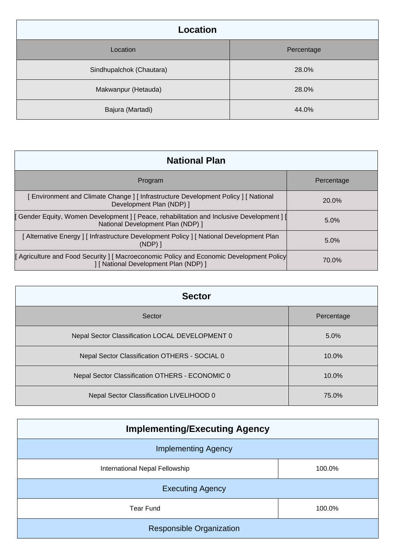| Location                 |            |
|--------------------------|------------|
| Location                 | Percentage |
| Sindhupalchok (Chautara) | 28.0%      |
| Makwanpur (Hetauda)      | 28.0%      |
| Bajura (Martadi)         | 44.0%      |

| <b>National Plan</b>                                                                                                           |            |
|--------------------------------------------------------------------------------------------------------------------------------|------------|
| Program                                                                                                                        | Percentage |
| [Environment and Climate Change] [Infrastructure Development Policy] [National<br>Development Plan (NDP) ]                     | 20.0%      |
| [Gender Equity, Women Development ] [ Peace, rehabilitation and Inclusive Development ] [<br>National Development Plan (NDP) 1 | $5.0\%$    |
| [Alternative Energy] [Infrastructure Development Policy] [National Development Plan<br>$(NDP)$ ]                               | 5.0%       |
| Agriculture and Food Security   Macroeconomic Policy and Economic Development Policy<br>] [ National Development Plan (NDP) ]  | 70.0%      |

| <b>Sector</b>                                   |            |  |
|-------------------------------------------------|------------|--|
| Sector                                          | Percentage |  |
| Nepal Sector Classification LOCAL DEVELOPMENT 0 | 5.0%       |  |
| Nepal Sector Classification OTHERS - SOCIAL 0   | $10.0\%$   |  |
| Nepal Sector Classification OTHERS - ECONOMIC 0 | $10.0\%$   |  |
| Nepal Sector Classification LIVELIHOOD 0        | 75.0%      |  |

| <b>Implementing/Executing Agency</b> |        |  |
|--------------------------------------|--------|--|
| <b>Implementing Agency</b>           |        |  |
| International Nepal Fellowship       | 100.0% |  |
| <b>Executing Agency</b>              |        |  |
| <b>Tear Fund</b>                     | 100.0% |  |
| <b>Responsible Organization</b>      |        |  |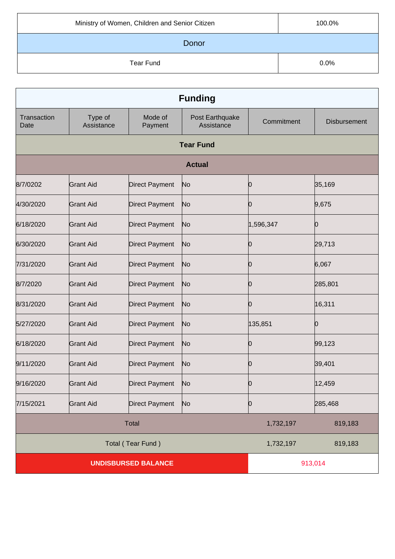| Ministry of Women, Children and Senior Citizen | 100.0% |
|------------------------------------------------|--------|
| Donor                                          |        |
| Tear Fund                                      | 0.0%   |

| <b>Funding</b>             |                       |                       |                               |            |                     |
|----------------------------|-----------------------|-----------------------|-------------------------------|------------|---------------------|
| Transaction<br>Date        | Type of<br>Assistance | Mode of<br>Payment    | Post Earthquake<br>Assistance | Commitment | <b>Disbursement</b> |
|                            |                       |                       | <b>Tear Fund</b>              |            |                     |
|                            |                       |                       | <b>Actual</b>                 |            |                     |
| 8/7/0202                   | <b>Grant Aid</b>      | <b>Direct Payment</b> | No                            | 0          | 35,169              |
| 4/30/2020                  | <b>Grant Aid</b>      | <b>Direct Payment</b> | No                            | 0          | 9,675               |
| 6/18/2020                  | <b>Grant Aid</b>      | <b>Direct Payment</b> | No                            | 1,596,347  | Ю                   |
| 6/30/2020                  | <b>Grant Aid</b>      | <b>Direct Payment</b> | No                            | 0          | 29,713              |
| 7/31/2020                  | <b>Grant Aid</b>      | <b>Direct Payment</b> | No                            | Ŋ          | 6,067               |
| 8/7/2020                   | <b>Grant Aid</b>      | <b>Direct Payment</b> | No                            | 0          | 285,801             |
| 8/31/2020                  | <b>Grant Aid</b>      | <b>Direct Payment</b> | No                            | Ŋ          | 16,311              |
| 5/27/2020                  | <b>Grant Aid</b>      | <b>Direct Payment</b> | No                            | 135,851    | Ю                   |
| 6/18/2020                  | <b>Grant Aid</b>      | <b>Direct Payment</b> | No                            | O          | 99,123              |
| 9/11/2020                  | <b>Grant Aid</b>      | <b>Direct Payment</b> | No                            | 0          | 39,401              |
| 9/16/2020                  | <b>Grant Aid</b>      | Direct Payment        | $\mathsf{No}$                 | 0          | 12,459              |
| 7/15/2021                  | <b>Grant Aid</b>      | <b>Direct Payment</b> | N <sub>o</sub>                | 0          | 285,468             |
| <b>Total</b>               |                       |                       | 1,732,197                     | 819,183    |                     |
|                            | Total (Tear Fund)     |                       |                               | 1,732,197  | 819,183             |
| <b>UNDISBURSED BALANCE</b> |                       |                       |                               | 913,014    |                     |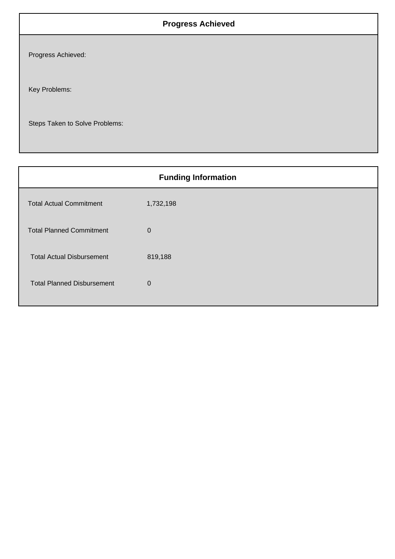## **Progress Achieved**

Progress Achieved:

Key Problems:

Steps Taken to Solve Problems:

| <b>Funding Information</b>        |             |  |
|-----------------------------------|-------------|--|
| <b>Total Actual Commitment</b>    | 1,732,198   |  |
| <b>Total Planned Commitment</b>   | $\mathbf 0$ |  |
| <b>Total Actual Disbursement</b>  | 819,188     |  |
| <b>Total Planned Disbursement</b> | $\mathbf 0$ |  |
|                                   |             |  |